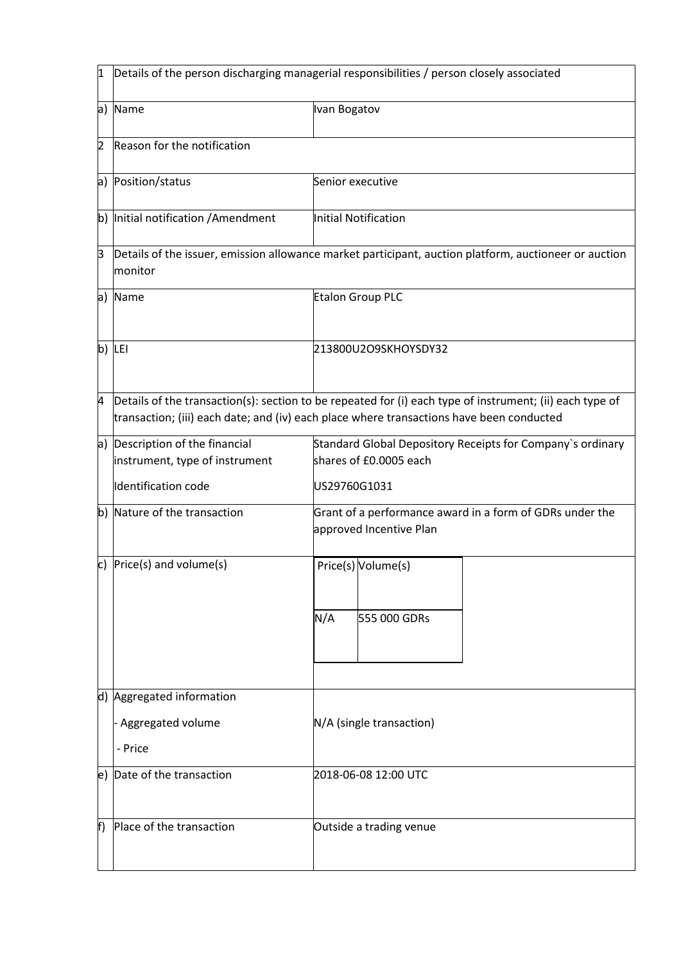| 1  | Details of the person discharging managerial responsibilities / person closely associated                        |                                                                                                                                                                                                      |  |
|----|------------------------------------------------------------------------------------------------------------------|------------------------------------------------------------------------------------------------------------------------------------------------------------------------------------------------------|--|
|    | a) Name                                                                                                          | Ivan Bogatov                                                                                                                                                                                         |  |
| 2  | Reason for the notification                                                                                      |                                                                                                                                                                                                      |  |
|    | a) Position/status                                                                                               | Senior executive                                                                                                                                                                                     |  |
| b) | Initial notification / Amendment                                                                                 | Initial Notification                                                                                                                                                                                 |  |
| ß  | Details of the issuer, emission allowance market participant, auction platform, auctioneer or auction<br>monitor |                                                                                                                                                                                                      |  |
|    | a) Name                                                                                                          | Etalon Group PLC                                                                                                                                                                                     |  |
|    | b) LEI                                                                                                           | 213800U2O9SKHOYSDY32                                                                                                                                                                                 |  |
| 4  |                                                                                                                  | Details of the transaction(s): section to be repeated for (i) each type of instrument; (ii) each type of<br>transaction; (iii) each date; and (iv) each place where transactions have been conducted |  |
| a) | Description of the financial<br>instrument, type of instrument                                                   | Standard Global Depository Receipts for Company's ordinary<br>shares of £0.0005 each                                                                                                                 |  |
|    | Identification code                                                                                              | US29760G1031                                                                                                                                                                                         |  |
| b) | Nature of the transaction                                                                                        | Grant of a performance award in a form of GDRs under the<br>approved Incentive Plan                                                                                                                  |  |
| c) | Price(s) and volume(s)                                                                                           | Price(s) Volume(s)                                                                                                                                                                                   |  |
|    |                                                                                                                  | N/A<br>555 000 GDRs                                                                                                                                                                                  |  |
|    | d) Aggregated information                                                                                        |                                                                                                                                                                                                      |  |
|    | Aggregated volume                                                                                                | N/A (single transaction)                                                                                                                                                                             |  |
|    | - Price                                                                                                          |                                                                                                                                                                                                      |  |
|    | e) Date of the transaction                                                                                       | 2018-06-08 12:00 UTC                                                                                                                                                                                 |  |
| f) | Place of the transaction                                                                                         | Outside a trading venue                                                                                                                                                                              |  |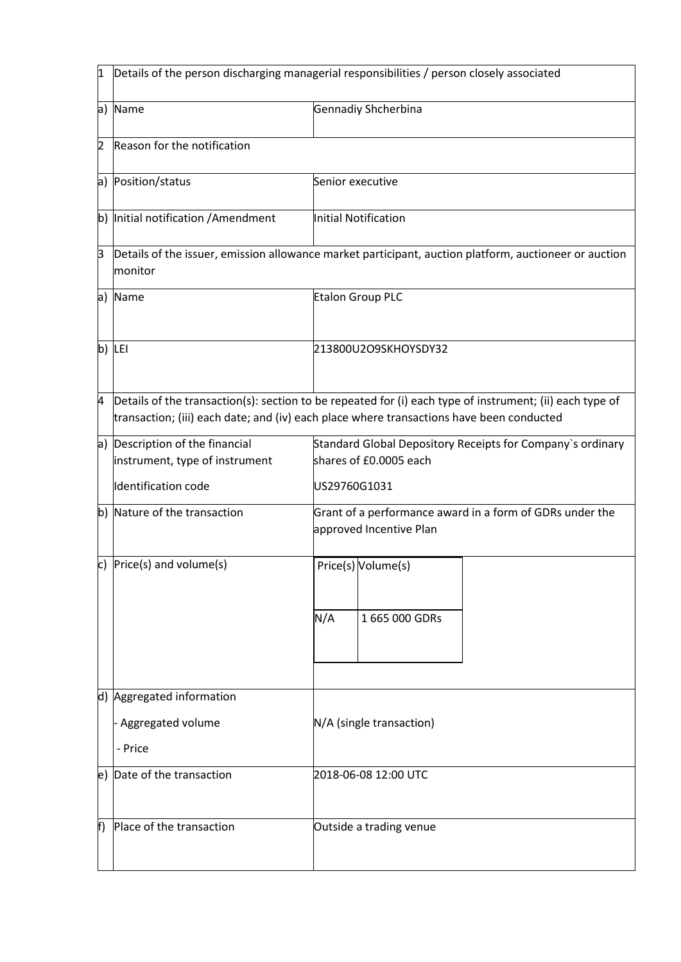| 1   | Details of the person discharging managerial responsibilities / person closely associated    |                                                                                                                                                                                                      |
|-----|----------------------------------------------------------------------------------------------|------------------------------------------------------------------------------------------------------------------------------------------------------------------------------------------------------|
| a   | Name                                                                                         | Gennadiy Shcherbina                                                                                                                                                                                  |
| 2   | Reason for the notification                                                                  |                                                                                                                                                                                                      |
| a)  | Position/status                                                                              | Senior executive                                                                                                                                                                                     |
| b)  | Initial notification / Amendment                                                             | Initial Notification                                                                                                                                                                                 |
| β   | monitor                                                                                      | Details of the issuer, emission allowance market participant, auction platform, auctioneer or auction                                                                                                |
| a)  | Name                                                                                         | Etalon Group PLC                                                                                                                                                                                     |
| b)  | LEI                                                                                          | 213800U2O9SKHOYSDY32                                                                                                                                                                                 |
| 4   |                                                                                              | Details of the transaction(s): section to be repeated for (i) each type of instrument; (ii) each type of<br>transaction; (iii) each date; and (iv) each place where transactions have been conducted |
| a)  | Description of the financial<br>instrument, type of instrument<br><b>Identification code</b> | Standard Global Depository Receipts for Company's ordinary<br>shares of £0.0005 each<br>US29760G1031                                                                                                 |
|     |                                                                                              |                                                                                                                                                                                                      |
| b)  | Nature of the transaction                                                                    | Grant of a performance award in a form of GDRs under the<br>approved Incentive Plan                                                                                                                  |
| c)  | Price(s) and volume(s)                                                                       | Price(s) Volume(s)<br>N/A<br>1 665 000 GDRs                                                                                                                                                          |
|     |                                                                                              |                                                                                                                                                                                                      |
|     | d) Aggregated information                                                                    |                                                                                                                                                                                                      |
|     | Aggregated volume<br>- Price                                                                 | N/A (single transaction)                                                                                                                                                                             |
|     |                                                                                              |                                                                                                                                                                                                      |
| le) | Date of the transaction                                                                      | 2018-06-08 12:00 UTC                                                                                                                                                                                 |
| f)  | Place of the transaction                                                                     | Outside a trading venue                                                                                                                                                                              |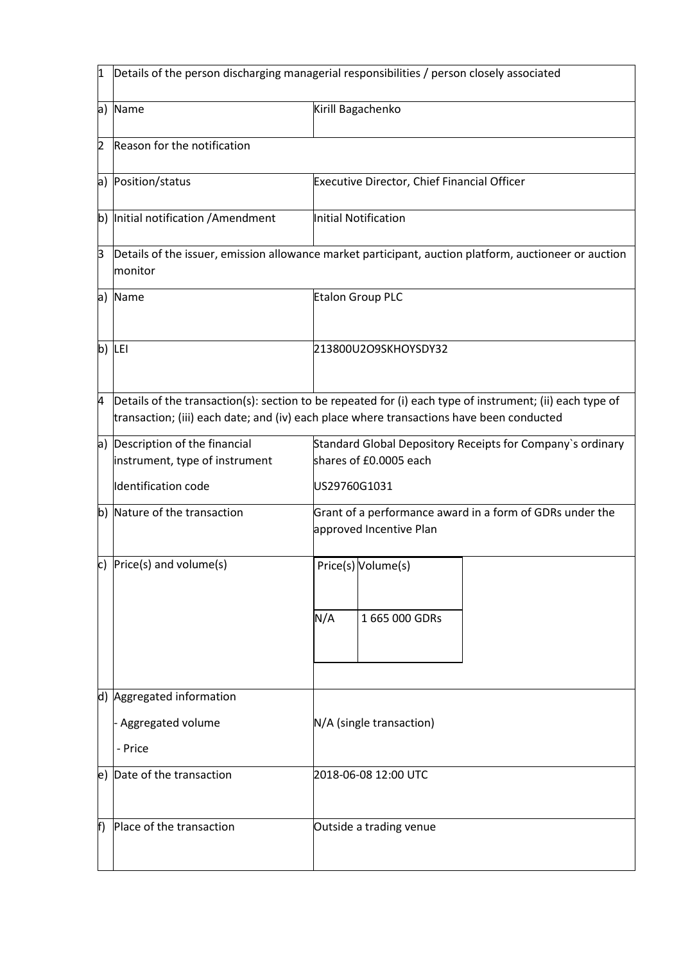| 1  | Details of the person discharging managerial responsibilities / person closely associated |                                                                                                                                                                                                      |
|----|-------------------------------------------------------------------------------------------|------------------------------------------------------------------------------------------------------------------------------------------------------------------------------------------------------|
| a) | Name                                                                                      | Kirill Bagachenko                                                                                                                                                                                    |
| 2  | Reason for the notification                                                               |                                                                                                                                                                                                      |
| a) | Position/status                                                                           | Executive Director, Chief Financial Officer                                                                                                                                                          |
| b) | Initial notification / Amendment                                                          | Initial Notification                                                                                                                                                                                 |
| ß  | monitor                                                                                   | Details of the issuer, emission allowance market participant, auction platform, auctioneer or auction                                                                                                |
| a) | Name                                                                                      | Etalon Group PLC                                                                                                                                                                                     |
| b) | LEI                                                                                       | 213800U2O9SKHOYSDY32                                                                                                                                                                                 |
| 4  |                                                                                           | Details of the transaction(s): section to be repeated for (i) each type of instrument; (ii) each type of<br>transaction; (iii) each date; and (iv) each place where transactions have been conducted |
| a) | Description of the financial<br>instrument, type of instrument                            | Standard Global Depository Receipts for Company's ordinary<br>shares of £0.0005 each                                                                                                                 |
|    | <b>Identification code</b>                                                                | US29760G1031                                                                                                                                                                                         |
| b) | Nature of the transaction                                                                 | Grant of a performance award in a form of GDRs under the<br>approved Incentive Plan                                                                                                                  |
| c) | Price(s) and volume(s)                                                                    | Price(s) Volume(s)<br>N/A<br>1 665 000 GDRs                                                                                                                                                          |
|    | d) Aggregated information<br>Aggregated volume<br>- Price                                 | N/A (single transaction)                                                                                                                                                                             |
|    | e) Date of the transaction                                                                | 2018-06-08 12:00 UTC                                                                                                                                                                                 |
| f) | Place of the transaction                                                                  | Outside a trading venue                                                                                                                                                                              |